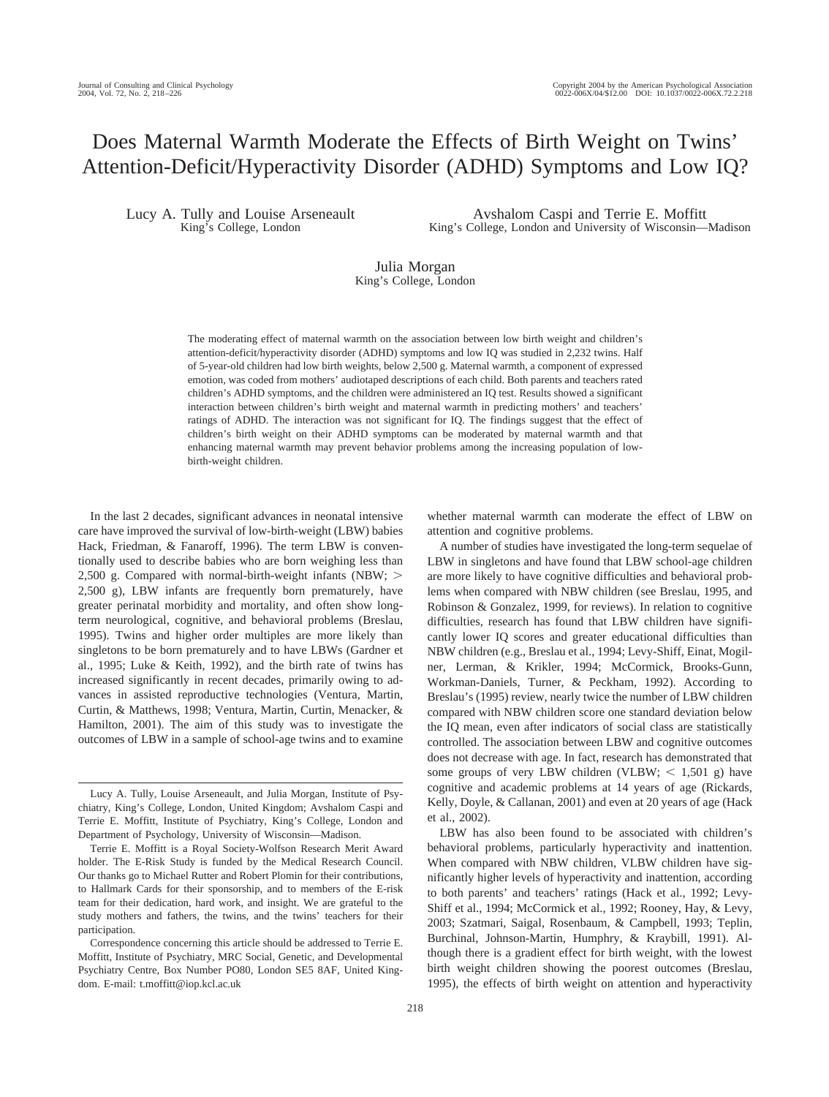# Does Maternal Warmth Moderate the Effects of Birth Weight on Twins' Attention-Deficit/Hyperactivity Disorder (ADHD) Symptoms and Low IQ?

Lucy A. Tully and Louise Arseneault King's College, London

Avshalom Caspi and Terrie E. Moffitt King's College, London and University of Wisconsin—Madison

Julia Morgan King's College, London

The moderating effect of maternal warmth on the association between low birth weight and children's attention-deficit/hyperactivity disorder (ADHD) symptoms and low IQ was studied in 2,232 twins. Half of 5-year-old children had low birth weights, below 2,500 g. Maternal warmth, a component of expressed emotion, was coded from mothers' audiotaped descriptions of each child. Both parents and teachers rated children's ADHD symptoms, and the children were administered an IQ test. Results showed a significant interaction between children's birth weight and maternal warmth in predicting mothers' and teachers' ratings of ADHD. The interaction was not significant for IQ. The findings suggest that the effect of children's birth weight on their ADHD symptoms can be moderated by maternal warmth and that enhancing maternal warmth may prevent behavior problems among the increasing population of lowbirth-weight children.

In the last 2 decades, significant advances in neonatal intensive care have improved the survival of low-birth-weight (LBW) babies Hack, Friedman, & Fanaroff, 1996). The term LBW is conventionally used to describe babies who are born weighing less than 2,500 g. Compared with normal-birth-weight infants (NBW; 2,500 g), LBW infants are frequently born prematurely, have greater perinatal morbidity and mortality, and often show longterm neurological, cognitive, and behavioral problems (Breslau, 1995). Twins and higher order multiples are more likely than singletons to be born prematurely and to have LBWs (Gardner et al., 1995; Luke & Keith, 1992), and the birth rate of twins has increased significantly in recent decades, primarily owing to advances in assisted reproductive technologies (Ventura, Martin, Curtin, & Matthews, 1998; Ventura, Martin, Curtin, Menacker, & Hamilton, 2001). The aim of this study was to investigate the outcomes of LBW in a sample of school-age twins and to examine whether maternal warmth can moderate the effect of LBW on attention and cognitive problems.

A number of studies have investigated the long-term sequelae of LBW in singletons and have found that LBW school-age children are more likely to have cognitive difficulties and behavioral problems when compared with NBW children (see Breslau, 1995, and Robinson & Gonzalez, 1999, for reviews). In relation to cognitive difficulties, research has found that LBW children have significantly lower IQ scores and greater educational difficulties than NBW children (e.g., Breslau et al., 1994; Levy-Shiff, Einat, Mogilner, Lerman, & Krikler, 1994; McCormick, Brooks-Gunn, Workman-Daniels, Turner, & Peckham, 1992). According to Breslau's (1995) review, nearly twice the number of LBW children compared with NBW children score one standard deviation below the IQ mean, even after indicators of social class are statistically controlled. The association between LBW and cognitive outcomes does not decrease with age. In fact, research has demonstrated that some groups of very LBW children (VLBW;  $\lt$  1,501 g) have cognitive and academic problems at 14 years of age (Rickards, Kelly, Doyle, & Callanan, 2001) and even at 20 years of age (Hack et al., 2002).

LBW has also been found to be associated with children's behavioral problems, particularly hyperactivity and inattention. When compared with NBW children, VLBW children have significantly higher levels of hyperactivity and inattention, according to both parents' and teachers' ratings (Hack et al., 1992; Levy-Shiff et al., 1994; McCormick et al., 1992; Rooney, Hay, & Levy, 2003; Szatmari, Saigal, Rosenbaum, & Campbell, 1993; Teplin, Burchinal, Johnson-Martin, Humphry, & Kraybill, 1991). Although there is a gradient effect for birth weight, with the lowest birth weight children showing the poorest outcomes (Breslau, 1995), the effects of birth weight on attention and hyperactivity

Lucy A. Tully, Louise Arseneault, and Julia Morgan, Institute of Psychiatry, King's College, London, United Kingdom; Avshalom Caspi and Terrie E. Moffitt, Institute of Psychiatry, King's College, London and Department of Psychology, University of Wisconsin—Madison.

Terrie E. Moffitt is a Royal Society-Wolfson Research Merit Award holder. The E-Risk Study is funded by the Medical Research Council. Our thanks go to Michael Rutter and Robert Plomin for their contributions, to Hallmark Cards for their sponsorship, and to members of the E-risk team for their dedication, hard work, and insight. We are grateful to the study mothers and fathers, the twins, and the twins' teachers for their participation.

Correspondence concerning this article should be addressed to Terrie E. Moffitt, Institute of Psychiatry, MRC Social, Genetic, and Developmental Psychiatry Centre, Box Number PO80, London SE5 8AF, United Kingdom. E-mail: t.moffitt@iop.kcl.ac.uk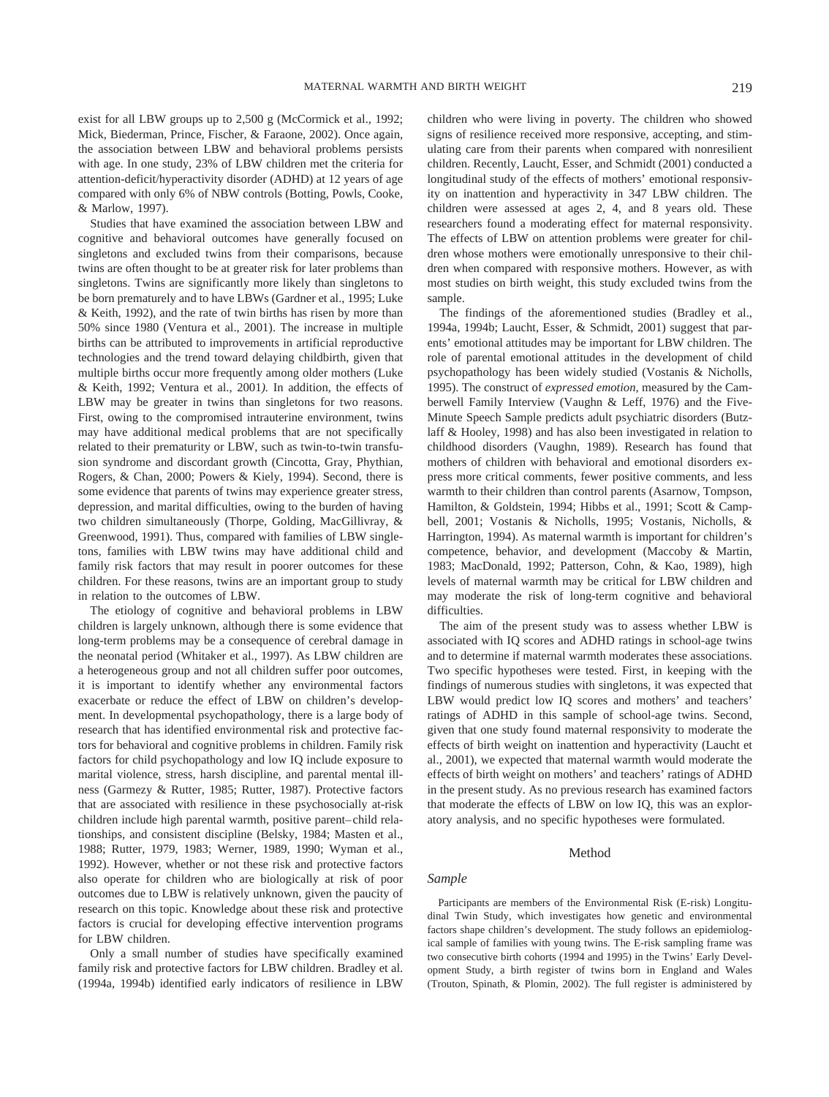exist for all LBW groups up to 2,500 g (McCormick et al., 1992; Mick, Biederman, Prince, Fischer, & Faraone, 2002). Once again, the association between LBW and behavioral problems persists with age. In one study, 23% of LBW children met the criteria for attention-deficit/hyperactivity disorder (ADHD) at 12 years of age compared with only 6% of NBW controls (Botting, Powls, Cooke, & Marlow, 1997).

Studies that have examined the association between LBW and cognitive and behavioral outcomes have generally focused on singletons and excluded twins from their comparisons, because twins are often thought to be at greater risk for later problems than singletons. Twins are significantly more likely than singletons to be born prematurely and to have LBWs (Gardner et al., 1995; Luke & Keith, 1992), and the rate of twin births has risen by more than 50% since 1980 (Ventura et al., 2001). The increase in multiple births can be attributed to improvements in artificial reproductive technologies and the trend toward delaying childbirth, given that multiple births occur more frequently among older mothers (Luke & Keith, 1992; Ventura et al., 2001*).* In addition, the effects of LBW may be greater in twins than singletons for two reasons. First, owing to the compromised intrauterine environment, twins may have additional medical problems that are not specifically related to their prematurity or LBW, such as twin-to-twin transfusion syndrome and discordant growth (Cincotta, Gray, Phythian, Rogers, & Chan, 2000; Powers & Kiely, 1994). Second, there is some evidence that parents of twins may experience greater stress, depression, and marital difficulties, owing to the burden of having two children simultaneously (Thorpe, Golding, MacGillivray, & Greenwood, 1991). Thus, compared with families of LBW singletons, families with LBW twins may have additional child and family risk factors that may result in poorer outcomes for these children. For these reasons, twins are an important group to study in relation to the outcomes of LBW.

The etiology of cognitive and behavioral problems in LBW children is largely unknown, although there is some evidence that long-term problems may be a consequence of cerebral damage in the neonatal period (Whitaker et al., 1997). As LBW children are a heterogeneous group and not all children suffer poor outcomes, it is important to identify whether any environmental factors exacerbate or reduce the effect of LBW on children's development. In developmental psychopathology, there is a large body of research that has identified environmental risk and protective factors for behavioral and cognitive problems in children. Family risk factors for child psychopathology and low IQ include exposure to marital violence, stress, harsh discipline, and parental mental illness (Garmezy & Rutter, 1985; Rutter, 1987). Protective factors that are associated with resilience in these psychosocially at-risk children include high parental warmth, positive parent–child relationships, and consistent discipline (Belsky, 1984; Masten et al., 1988; Rutter, 1979, 1983; Werner, 1989, 1990; Wyman et al., 1992). However, whether or not these risk and protective factors also operate for children who are biologically at risk of poor outcomes due to LBW is relatively unknown, given the paucity of research on this topic. Knowledge about these risk and protective factors is crucial for developing effective intervention programs for LBW children.

Only a small number of studies have specifically examined family risk and protective factors for LBW children. Bradley et al. (1994a, 1994b) identified early indicators of resilience in LBW children who were living in poverty. The children who showed signs of resilience received more responsive, accepting, and stimulating care from their parents when compared with nonresilient children. Recently, Laucht, Esser, and Schmidt (2001) conducted a longitudinal study of the effects of mothers' emotional responsivity on inattention and hyperactivity in 347 LBW children. The children were assessed at ages 2, 4, and 8 years old. These researchers found a moderating effect for maternal responsivity. The effects of LBW on attention problems were greater for children whose mothers were emotionally unresponsive to their children when compared with responsive mothers. However, as with most studies on birth weight, this study excluded twins from the sample.

The findings of the aforementioned studies (Bradley et al., 1994a, 1994b; Laucht, Esser, & Schmidt, 2001) suggest that parents' emotional attitudes may be important for LBW children. The role of parental emotional attitudes in the development of child psychopathology has been widely studied (Vostanis & Nicholls, 1995). The construct of *expressed emotion,* measured by the Camberwell Family Interview (Vaughn & Leff, 1976) and the Five-Minute Speech Sample predicts adult psychiatric disorders (Butzlaff & Hooley, 1998) and has also been investigated in relation to childhood disorders (Vaughn, 1989). Research has found that mothers of children with behavioral and emotional disorders express more critical comments, fewer positive comments, and less warmth to their children than control parents (Asarnow, Tompson, Hamilton, & Goldstein, 1994; Hibbs et al., 1991; Scott & Campbell, 2001; Vostanis & Nicholls, 1995; Vostanis, Nicholls, & Harrington, 1994). As maternal warmth is important for children's competence, behavior, and development (Maccoby & Martin, 1983; MacDonald, 1992; Patterson, Cohn, & Kao, 1989), high levels of maternal warmth may be critical for LBW children and may moderate the risk of long-term cognitive and behavioral difficulties.

The aim of the present study was to assess whether LBW is associated with IQ scores and ADHD ratings in school-age twins and to determine if maternal warmth moderates these associations. Two specific hypotheses were tested. First, in keeping with the findings of numerous studies with singletons, it was expected that LBW would predict low IQ scores and mothers' and teachers' ratings of ADHD in this sample of school-age twins. Second, given that one study found maternal responsivity to moderate the effects of birth weight on inattention and hyperactivity (Laucht et al., 2001), we expected that maternal warmth would moderate the effects of birth weight on mothers' and teachers' ratings of ADHD in the present study. As no previous research has examined factors that moderate the effects of LBW on low IQ, this was an exploratory analysis, and no specific hypotheses were formulated.

## Method

# *Sample*

Participants are members of the Environmental Risk (E-risk) Longitudinal Twin Study, which investigates how genetic and environmental factors shape children's development. The study follows an epidemiological sample of families with young twins. The E-risk sampling frame was two consecutive birth cohorts (1994 and 1995) in the Twins' Early Development Study, a birth register of twins born in England and Wales (Trouton, Spinath, & Plomin, 2002). The full register is administered by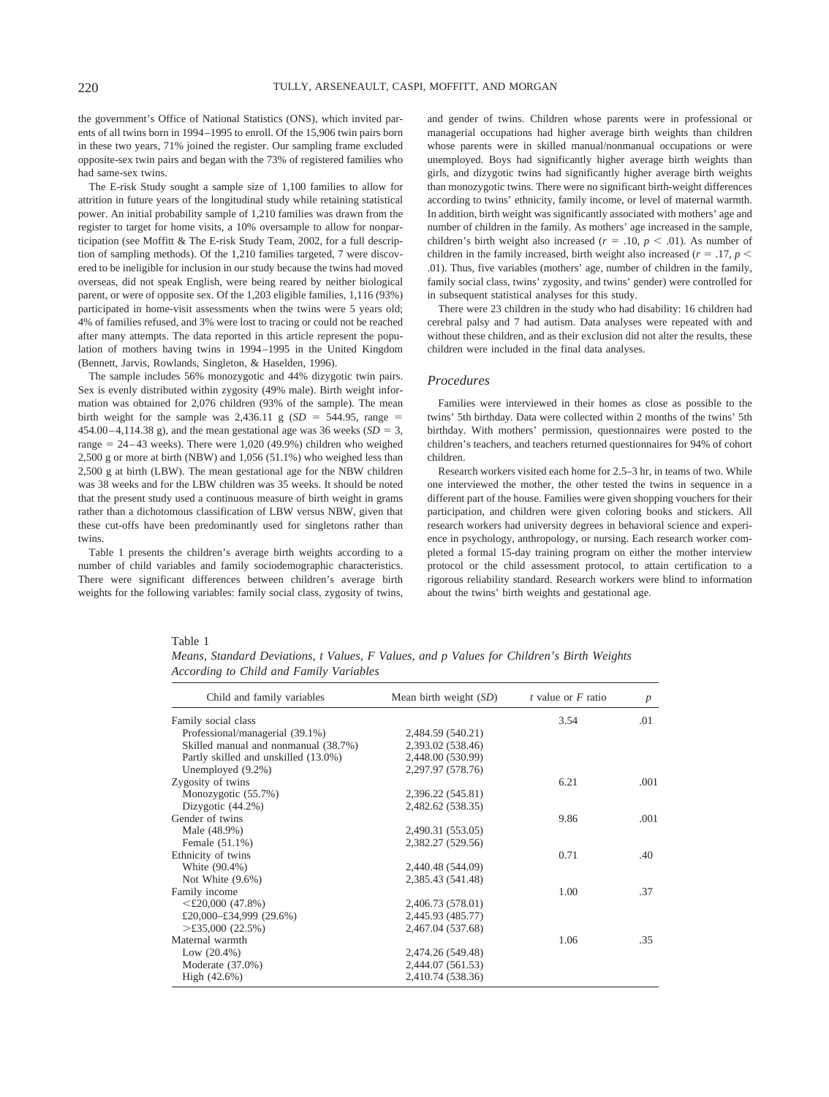the government's Office of National Statistics (ONS), which invited parents of all twins born in 1994–1995 to enroll. Of the 15,906 twin pairs born in these two years, 71% joined the register. Our sampling frame excluded opposite-sex twin pairs and began with the 73% of registered families who had same-sex twins.

The E-risk Study sought a sample size of 1,100 families to allow for attrition in future years of the longitudinal study while retaining statistical power. An initial probability sample of 1,210 families was drawn from the register to target for home visits, a 10% oversample to allow for nonparticipation (see Moffitt & The E-risk Study Team, 2002, for a full description of sampling methods). Of the 1,210 families targeted, 7 were discovered to be ineligible for inclusion in our study because the twins had moved overseas, did not speak English, were being reared by neither biological parent, or were of opposite sex. Of the 1,203 eligible families, 1,116 (93%) participated in home-visit assessments when the twins were 5 years old; 4% of families refused, and 3% were lost to tracing or could not be reached after many attempts. The data reported in this article represent the population of mothers having twins in 1994–1995 in the United Kingdom (Bennett, Jarvis, Rowlands, Singleton, & Haselden, 1996).

The sample includes 56% monozygotic and 44% dizygotic twin pairs. Sex is evenly distributed within zygosity (49% male). Birth weight information was obtained for 2,076 children (93% of the sample). The mean birth weight for the sample was 2,436.11 g  $(SD = 544.95, \text{ range} =$ 454.00–4,114.38 g), and the mean gestational age was 36 weeks  $(SD = 3, 114.38)$ range  $= 24-43$  weeks). There were 1,020 (49.9%) children who weighed 2,500 g or more at birth (NBW) and 1,056 (51.1%) who weighed less than 2,500 g at birth (LBW). The mean gestational age for the NBW children was 38 weeks and for the LBW children was 35 weeks. It should be noted that the present study used a continuous measure of birth weight in grams rather than a dichotomous classification of LBW versus NBW, given that these cut-offs have been predominantly used for singletons rather than twins.

Table 1 presents the children's average birth weights according to a number of child variables and family sociodemographic characteristics. There were significant differences between children's average birth weights for the following variables: family social class, zygosity of twins, and gender of twins. Children whose parents were in professional or managerial occupations had higher average birth weights than children whose parents were in skilled manual/nonmanual occupations or were unemployed. Boys had significantly higher average birth weights than girls, and dizygotic twins had significantly higher average birth weights than monozygotic twins. There were no significant birth-weight differences according to twins' ethnicity, family income, or level of maternal warmth. In addition, birth weight was significantly associated with mothers' age and number of children in the family. As mothers' age increased in the sample, children's birth weight also increased  $(r = .10, p < .01)$ . As number of children in the family increased, birth weight also increased ( $r = .17$ ,  $p <$ .01). Thus, five variables (mothers' age, number of children in the family, family social class, twins' zygosity, and twins' gender) were controlled for in subsequent statistical analyses for this study.

There were 23 children in the study who had disability: 16 children had cerebral palsy and 7 had autism. Data analyses were repeated with and without these children, and as their exclusion did not alter the results, these children were included in the final data analyses.

#### *Procedures*

Families were interviewed in their homes as close as possible to the twins' 5th birthday. Data were collected within 2 months of the twins' 5th birthday. With mothers' permission, questionnaires were posted to the children's teachers, and teachers returned questionnaires for 94% of cohort children.

Research workers visited each home for  $2.5-3$  hr, in teams of two. While one interviewed the mother, the other tested the twins in sequence in a different part of the house. Families were given shopping vouchers for their participation, and children were given coloring books and stickers. All research workers had university degrees in behavioral science and experience in psychology, anthropology, or nursing. Each research worker completed a formal 15-day training program on either the mother interview protocol or the child assessment protocol, to attain certification to a rigorous reliability standard. Research workers were blind to information about the twins' birth weights and gestational age.

#### Table 1

*Means, Standard Deviations, t Values, F Values, and p Values for Children's Birth Weights According to Child and Family Variables*

| Child and family variables           | Mean birth weight (SD) | t value or $F$ ratio | $\boldsymbol{p}$ |  |
|--------------------------------------|------------------------|----------------------|------------------|--|
| Family social class                  |                        | 3.54                 | .01              |  |
| Professional/managerial (39.1%)      | 2,484.59 (540.21)      |                      |                  |  |
| Skilled manual and nonmanual (38.7%) | 2,393.02 (538.46)      |                      |                  |  |
| Partly skilled and unskilled (13.0%) | 2,448.00 (530.99)      |                      |                  |  |
| Unemployed (9.2%)                    | 2,297.97 (578.76)      |                      |                  |  |
| Zygosity of twins                    |                        | 6.21                 | .001             |  |
| Monozygotic (55.7%)                  | 2,396.22 (545.81)      |                      |                  |  |
| Dizygotic $(44.2\%)$                 | 2,482.62 (538.35)      |                      |                  |  |
| Gender of twins                      |                        | 9.86                 | .001             |  |
| Male (48.9%)                         | 2,490.31 (553.05)      |                      |                  |  |
| Female (51.1%)                       | 2,382.27 (529.56)      |                      |                  |  |
| Ethnicity of twins                   |                        | 0.71                 | .40              |  |
| White (90.4%)                        | 2,440.48 (544.09)      |                      |                  |  |
| Not White $(9.6\%)$                  | 2,385.43 (541.48)      |                      |                  |  |
| Family income                        |                        | 1.00                 | .37              |  |
| $\leq$ £20,000 (47.8%)               | 2,406.73 (578.01)      |                      |                  |  |
| £20,000-£34,999 (29.6%)              | 2,445.93 (485.77)      |                      |                  |  |
| $>\pounds35,000(22.5\%)$             | 2,467.04 (537.68)      |                      |                  |  |
| Maternal warmth                      |                        | 1.06                 | .35              |  |
| Low $(20.4\%)$                       | 2,474.26 (549.48)      |                      |                  |  |
| Moderate $(37.0\%)$                  | 2,444.07 (561.53)      |                      |                  |  |
| High $(42.6%)$                       | 2,410.74 (538.36)      |                      |                  |  |
|                                      |                        |                      |                  |  |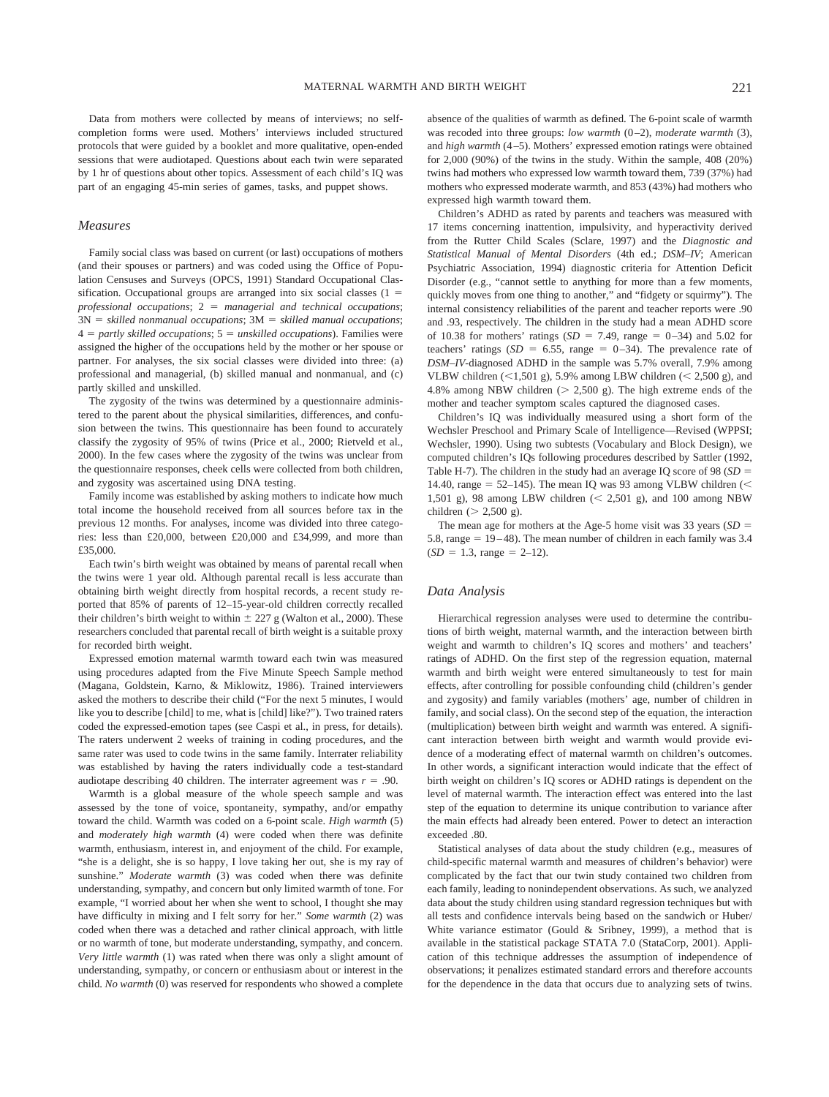Data from mothers were collected by means of interviews; no selfcompletion forms were used. Mothers' interviews included structured protocols that were guided by a booklet and more qualitative, open-ended sessions that were audiotaped. Questions about each twin were separated by 1 hr of questions about other topics. Assessment of each child's IQ was part of an engaging 45-min series of games, tasks, and puppet shows.

#### *Measures*

Family social class was based on current (or last) occupations of mothers (and their spouses or partners) and was coded using the Office of Population Censuses and Surveys (OPCS, 1991) Standard Occupational Classification. Occupational groups are arranged into six social classes  $(1 =$ *professional occupations*; 2 *managerial and technical occupations*;  $3N =$  *skilled nonmanual occupations*;  $3M =$  *skilled manual occupations*; 4 *partly skilled occupations*; 5 *unskilled occupations*). Families were assigned the higher of the occupations held by the mother or her spouse or partner. For analyses, the six social classes were divided into three: (a) professional and managerial, (b) skilled manual and nonmanual, and (c) partly skilled and unskilled.

The zygosity of the twins was determined by a questionnaire administered to the parent about the physical similarities, differences, and confusion between the twins. This questionnaire has been found to accurately classify the zygosity of 95% of twins (Price et al., 2000; Rietveld et al., 2000). In the few cases where the zygosity of the twins was unclear from the questionnaire responses, cheek cells were collected from both children, and zygosity was ascertained using DNA testing.

Family income was established by asking mothers to indicate how much total income the household received from all sources before tax in the previous 12 months. For analyses, income was divided into three categories: less than £20,000, between £20,000 and £34,999, and more than £35,000.

Each twin's birth weight was obtained by means of parental recall when the twins were 1 year old. Although parental recall is less accurate than obtaining birth weight directly from hospital records, a recent study reported that 85% of parents of 12–15-year-old children correctly recalled their children's birth weight to within  $\pm$  227 g (Walton et al., 2000). These researchers concluded that parental recall of birth weight is a suitable proxy for recorded birth weight.

Expressed emotion maternal warmth toward each twin was measured using procedures adapted from the Five Minute Speech Sample method (Magana, Goldstein, Karno, & Miklowitz, 1986). Trained interviewers asked the mothers to describe their child ("For the next 5 minutes, I would like you to describe [child] to me, what is [child] like?"). Two trained raters coded the expressed-emotion tapes (see Caspi et al., in press, for details). The raters underwent 2 weeks of training in coding procedures, and the same rater was used to code twins in the same family. Interrater reliability was established by having the raters individually code a test-standard audiotape describing 40 children. The interrater agreement was  $r = .90$ .

Warmth is a global measure of the whole speech sample and was assessed by the tone of voice, spontaneity, sympathy, and/or empathy toward the child. Warmth was coded on a 6-point scale. *High warmth* (5) and *moderately high warmth* (4) were coded when there was definite warmth, enthusiasm, interest in, and enjoyment of the child. For example, "she is a delight, she is so happy, I love taking her out, she is my ray of sunshine." *Moderate warmth* (3) was coded when there was definite understanding, sympathy, and concern but only limited warmth of tone. For example, "I worried about her when she went to school, I thought she may have difficulty in mixing and I felt sorry for her." *Some warmth* (2) was coded when there was a detached and rather clinical approach, with little or no warmth of tone, but moderate understanding, sympathy, and concern. *Very little warmth* (1) was rated when there was only a slight amount of understanding, sympathy, or concern or enthusiasm about or interest in the child. *No warmth* (0) was reserved for respondents who showed a complete

absence of the qualities of warmth as defined. The 6-point scale of warmth was recoded into three groups: *low warmth* (0–2), *moderate warmth* (3), and *high warmth* (4–5). Mothers' expressed emotion ratings were obtained for 2,000 (90%) of the twins in the study. Within the sample, 408 (20%) twins had mothers who expressed low warmth toward them, 739 (37%) had mothers who expressed moderate warmth, and 853 (43%) had mothers who expressed high warmth toward them.

Children's ADHD as rated by parents and teachers was measured with 17 items concerning inattention, impulsivity, and hyperactivity derived from the Rutter Child Scales (Sclare, 1997) and the *Diagnostic and Statistical Manual of Mental Disorders* (4th ed.; *DSM–IV*; American Psychiatric Association, 1994) diagnostic criteria for Attention Deficit Disorder (e.g., "cannot settle to anything for more than a few moments, quickly moves from one thing to another," and "fidgety or squirmy"). The internal consistency reliabilities of the parent and teacher reports were .90 and .93, respectively. The children in the study had a mean ADHD score of 10.38 for mothers' ratings  $(SD = 7.49, \text{ range} = 0-34)$  and 5.02 for teachers' ratings  $(SD = 6.55, \text{ range} = 0-34)$ . The prevalence rate of *DSM–IV-*diagnosed ADHD in the sample was 5.7% overall, 7.9% among VLBW children  $\left( \leq 1,501 \right)$  g), 5.9% among LBW children  $\left( \leq 2,500 \right)$  g), and 4.8% among NBW children ( $> 2,500$  g). The high extreme ends of the mother and teacher symptom scales captured the diagnosed cases.

Children's IQ was individually measured using a short form of the Wechsler Preschool and Primary Scale of Intelligence—Revised (WPPSI; Wechsler, 1990). Using two subtests (Vocabulary and Block Design), we computed children's IQs following procedures described by Sattler (1992, Table H-7). The children in the study had an average IQ score of 98 (*SD* 14.40, range  $= 52-145$ ). The mean IQ was 93 among VLBW children (< 1,501 g), 98 among LBW children  $\ll$  2,501 g), and 100 among NBW children  $($  2,500 g).

The mean age for mothers at the Age-5 home visit was 33 years (*SD* 5.8, range  $= 19-48$ ). The mean number of children in each family was 3.4  $(SD = 1.3, \text{ range} = 2 - 12).$ 

# *Data Analysis*

Hierarchical regression analyses were used to determine the contributions of birth weight, maternal warmth, and the interaction between birth weight and warmth to children's IQ scores and mothers' and teachers' ratings of ADHD. On the first step of the regression equation, maternal warmth and birth weight were entered simultaneously to test for main effects, after controlling for possible confounding child (children's gender and zygosity) and family variables (mothers' age, number of children in family, and social class). On the second step of the equation, the interaction (multiplication) between birth weight and warmth was entered. A significant interaction between birth weight and warmth would provide evidence of a moderating effect of maternal warmth on children's outcomes. In other words, a significant interaction would indicate that the effect of birth weight on children's IQ scores or ADHD ratings is dependent on the level of maternal warmth. The interaction effect was entered into the last step of the equation to determine its unique contribution to variance after the main effects had already been entered. Power to detect an interaction exceeded .80.

Statistical analyses of data about the study children (e.g., measures of child-specific maternal warmth and measures of children's behavior) were complicated by the fact that our twin study contained two children from each family, leading to nonindependent observations. As such, we analyzed data about the study children using standard regression techniques but with all tests and confidence intervals being based on the sandwich or Huber/ White variance estimator (Gould & Sribney, 1999), a method that is available in the statistical package STATA 7.0 (StataCorp, 2001). Application of this technique addresses the assumption of independence of observations; it penalizes estimated standard errors and therefore accounts for the dependence in the data that occurs due to analyzing sets of twins.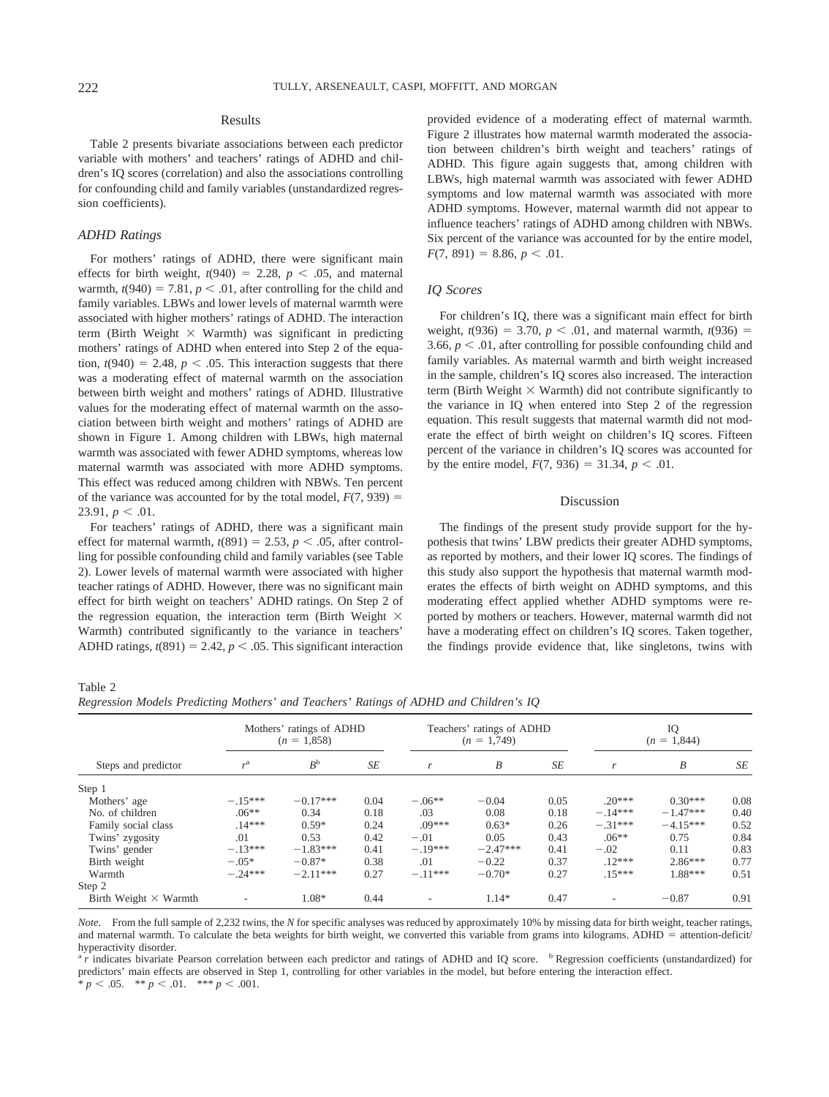#### Results

Table 2 presents bivariate associations between each predictor variable with mothers' and teachers' ratings of ADHD and children's IQ scores (correlation) and also the associations controlling for confounding child and family variables (unstandardized regression coefficients).

# *ADHD Ratings*

For mothers' ratings of ADHD, there were significant main effects for birth weight,  $t(940) = 2.28$ ,  $p < .05$ , and maternal warmth,  $t(940) = 7.81$ ,  $p < .01$ , after controlling for the child and family variables. LBWs and lower levels of maternal warmth were associated with higher mothers' ratings of ADHD. The interaction term (Birth Weight  $\times$  Warmth) was significant in predicting mothers' ratings of ADHD when entered into Step 2 of the equation,  $t(940) = 2.48$ ,  $p < .05$ . This interaction suggests that there was a moderating effect of maternal warmth on the association between birth weight and mothers' ratings of ADHD. Illustrative values for the moderating effect of maternal warmth on the association between birth weight and mothers' ratings of ADHD are shown in Figure 1. Among children with LBWs, high maternal warmth was associated with fewer ADHD symptoms, whereas low maternal warmth was associated with more ADHD symptoms. This effect was reduced among children with NBWs. Ten percent of the variance was accounted for by the total model,  $F(7, 939) =$  $23.91, p < .01.$ 

For teachers' ratings of ADHD, there was a significant main effect for maternal warmth,  $t(891) = 2.53$ ,  $p < .05$ , after controlling for possible confounding child and family variables (see Table 2). Lower levels of maternal warmth were associated with higher teacher ratings of ADHD. However, there was no significant main effect for birth weight on teachers' ADHD ratings. On Step 2 of the regression equation, the interaction term (Birth Weight  $\times$ Warmth) contributed significantly to the variance in teachers' ADHD ratings,  $t(891) = 2.42$ ,  $p < .05$ . This significant interaction

provided evidence of a moderating effect of maternal warmth. Figure 2 illustrates how maternal warmth moderated the association between children's birth weight and teachers' ratings of ADHD. This figure again suggests that, among children with LBWs, high maternal warmth was associated with fewer ADHD symptoms and low maternal warmth was associated with more ADHD symptoms. However, maternal warmth did not appear to influence teachers' ratings of ADHD among children with NBWs. Six percent of the variance was accounted for by the entire model,  $F(7, 891) = 8.86, p < .01.$ 

## *IQ Scores*

For children's IQ, there was a significant main effect for birth weight,  $t(936) = 3.70, p < .01$ , and maternal warmth,  $t(936) =$ 3.66,  $p < 0.01$ , after controlling for possible confounding child and family variables. As maternal warmth and birth weight increased in the sample, children's IQ scores also increased. The interaction term (Birth Weight  $\times$  Warmth) did not contribute significantly to the variance in IQ when entered into Step 2 of the regression equation. This result suggests that maternal warmth did not moderate the effect of birth weight on children's IQ scores. Fifteen percent of the variance in children's IQ scores was accounted for by the entire model,  $F(7, 936) = 31.34, p < .01$ .

#### Discussion

The findings of the present study provide support for the hypothesis that twins' LBW predicts their greater ADHD symptoms, as reported by mothers, and their lower IQ scores. The findings of this study also support the hypothesis that maternal warmth moderates the effects of birth weight on ADHD symptoms, and this moderating effect applied whether ADHD symptoms were reported by mothers or teachers. However, maternal warmth did not have a moderating effect on children's IQ scores. Taken together, the findings provide evidence that, like singletons, twins with

Table 2

*Regression Models Predicting Mothers' and Teachers' Ratings of ADHD and Children's IQ*

| Steps and predictor          | Mothers' ratings of ADHD<br>$(n = 1,858)$ |             | Teachers' ratings of ADHD<br>$(n = 1,749)$ |           | IQ<br>$(n = 1,844)$ |      |           |            |      |
|------------------------------|-------------------------------------------|-------------|--------------------------------------------|-----------|---------------------|------|-----------|------------|------|
|                              | r <sup>a</sup>                            | $B^{\rm b}$ | <b>SE</b>                                  | r         | $\boldsymbol{B}$    | SE   | r         | B          | SE   |
| Step 1                       |                                           |             |                                            |           |                     |      |           |            |      |
| Mothers' age                 | $-.15***$                                 | $-0.17***$  | 0.04                                       | $-.06**$  | $-0.04$             | 0.05 | $.20***$  | $0.30***$  | 0.08 |
| No. of children              | $.06**$                                   | 0.34        | 0.18                                       | .03       | 0.08                | 0.18 | $-.14***$ | $-1.47***$ | 0.40 |
| Family social class          | $.14***$                                  | $0.59*$     | 0.24                                       | $.09***$  | $0.63*$             | 0.26 | $-.31***$ | $-4.15***$ | 0.52 |
| Twins' zygosity              | .01                                       | 0.53        | 0.42                                       | $-.01$    | 0.05                | 0.43 | $.06**$   | 0.75       | 0.84 |
| Twins' gender                | $-.13***$                                 | $-1.83***$  | 0.41                                       | $-.19***$ | $-2.47***$          | 0.41 | $-.02$    | 0.11       | 0.83 |
| Birth weight                 | $-.05*$                                   | $-0.87*$    | 0.38                                       | .01       | $-0.22$             | 0.37 | $.12***$  | $2.86***$  | 0.77 |
| Warmth                       | $-.24***$                                 | $-2.11***$  | 0.27                                       | $-.11***$ | $-0.70*$            | 0.27 | $.15***$  | 1.88***    | 0.51 |
| Step 2                       |                                           |             |                                            |           |                     |      |           |            |      |
| Birth Weight $\times$ Warmth |                                           | 1.08*       | 0.44                                       |           | $1.14*$             | 0.47 |           | $-0.87$    | 0.91 |

*Note.* From the full sample of 2,232 twins, the *N* for specific analyses was reduced by approximately 10% by missing data for birth weight, teacher ratings, and maternal warmth. To calculate the beta weights for birth weight, we converted this variable from grams into kilograms. ADHD = attention-deficit/ hyperactivity disorder.

<sup>a</sup> *r* indicates bivariate Pearson correlation between each predictor and ratings of ADHD and IQ score. <sup>b</sup> Regression coefficients (unstandardized) for predictors' main effects are observed in Step 1, controlling for other variables in the model, but before entering the interaction effect.

 $* p < .05.$   $* p < .01.$   $* \cdot p < .001.$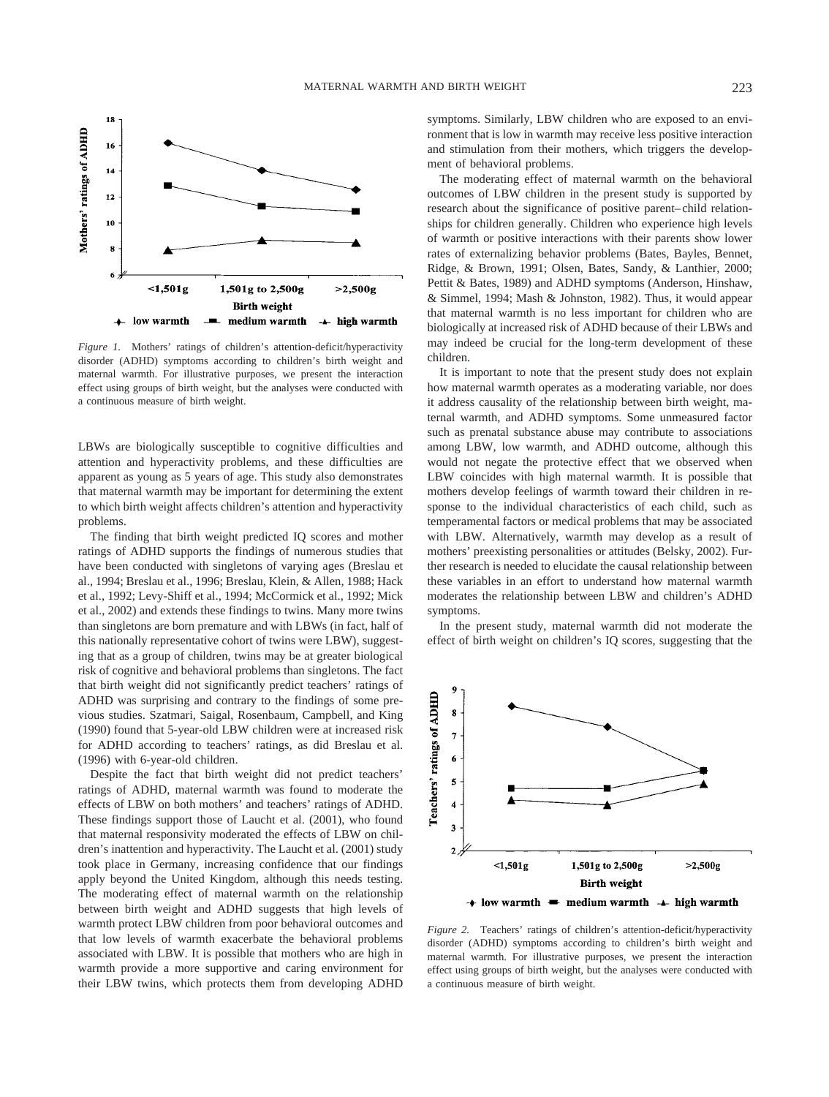

*Figure 1.* Mothers' ratings of children's attention-deficit/hyperactivity disorder (ADHD) symptoms according to children's birth weight and maternal warmth. For illustrative purposes, we present the interaction effect using groups of birth weight, but the analyses were conducted with a continuous measure of birth weight.

LBWs are biologically susceptible to cognitive difficulties and attention and hyperactivity problems, and these difficulties are apparent as young as 5 years of age. This study also demonstrates that maternal warmth may be important for determining the extent to which birth weight affects children's attention and hyperactivity problems.

The finding that birth weight predicted IQ scores and mother ratings of ADHD supports the findings of numerous studies that have been conducted with singletons of varying ages (Breslau et al., 1994; Breslau et al., 1996; Breslau, Klein, & Allen, 1988; Hack et al., 1992; Levy-Shiff et al., 1994; McCormick et al., 1992; Mick et al., 2002) and extends these findings to twins. Many more twins than singletons are born premature and with LBWs (in fact, half of this nationally representative cohort of twins were LBW), suggesting that as a group of children, twins may be at greater biological risk of cognitive and behavioral problems than singletons. The fact that birth weight did not significantly predict teachers' ratings of ADHD was surprising and contrary to the findings of some previous studies. Szatmari, Saigal, Rosenbaum, Campbell, and King (1990) found that 5-year-old LBW children were at increased risk for ADHD according to teachers' ratings, as did Breslau et al. (1996) with 6-year-old children.

Despite the fact that birth weight did not predict teachers' ratings of ADHD, maternal warmth was found to moderate the effects of LBW on both mothers' and teachers' ratings of ADHD. These findings support those of Laucht et al. (2001), who found that maternal responsivity moderated the effects of LBW on children's inattention and hyperactivity. The Laucht et al. (2001) study took place in Germany, increasing confidence that our findings apply beyond the United Kingdom, although this needs testing. The moderating effect of maternal warmth on the relationship between birth weight and ADHD suggests that high levels of warmth protect LBW children from poor behavioral outcomes and that low levels of warmth exacerbate the behavioral problems associated with LBW. It is possible that mothers who are high in warmth provide a more supportive and caring environment for their LBW twins, which protects them from developing ADHD symptoms. Similarly, LBW children who are exposed to an environment that is low in warmth may receive less positive interaction and stimulation from their mothers, which triggers the development of behavioral problems.

The moderating effect of maternal warmth on the behavioral outcomes of LBW children in the present study is supported by research about the significance of positive parent–child relationships for children generally. Children who experience high levels of warmth or positive interactions with their parents show lower rates of externalizing behavior problems (Bates, Bayles, Bennet, Ridge, & Brown, 1991; Olsen, Bates, Sandy, & Lanthier, 2000; Pettit & Bates, 1989) and ADHD symptoms (Anderson, Hinshaw, & Simmel, 1994; Mash & Johnston, 1982). Thus, it would appear that maternal warmth is no less important for children who are biologically at increased risk of ADHD because of their LBWs and may indeed be crucial for the long-term development of these children.

It is important to note that the present study does not explain how maternal warmth operates as a moderating variable, nor does it address causality of the relationship between birth weight, maternal warmth, and ADHD symptoms. Some unmeasured factor such as prenatal substance abuse may contribute to associations among LBW, low warmth, and ADHD outcome, although this would not negate the protective effect that we observed when LBW coincides with high maternal warmth. It is possible that mothers develop feelings of warmth toward their children in response to the individual characteristics of each child, such as temperamental factors or medical problems that may be associated with LBW. Alternatively, warmth may develop as a result of mothers' preexisting personalities or attitudes (Belsky, 2002). Further research is needed to elucidate the causal relationship between these variables in an effort to understand how maternal warmth moderates the relationship between LBW and children's ADHD symptoms.

In the present study, maternal warmth did not moderate the effect of birth weight on children's IQ scores, suggesting that the



*Figure 2.* Teachers' ratings of children's attention-deficit/hyperactivity disorder (ADHD) symptoms according to children's birth weight and maternal warmth. For illustrative purposes, we present the interaction effect using groups of birth weight, but the analyses were conducted with a continuous measure of birth weight.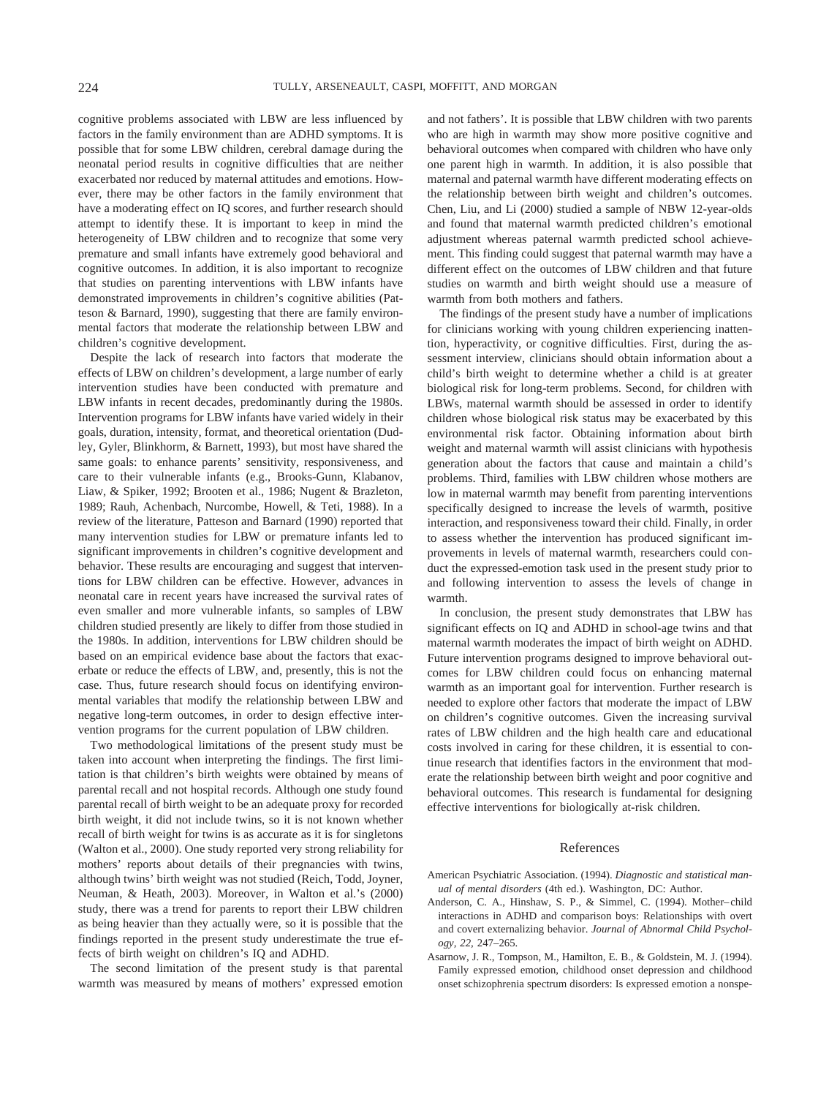cognitive problems associated with LBW are less influenced by factors in the family environment than are ADHD symptoms. It is possible that for some LBW children, cerebral damage during the neonatal period results in cognitive difficulties that are neither exacerbated nor reduced by maternal attitudes and emotions. However, there may be other factors in the family environment that have a moderating effect on IQ scores, and further research should attempt to identify these. It is important to keep in mind the heterogeneity of LBW children and to recognize that some very premature and small infants have extremely good behavioral and cognitive outcomes. In addition, it is also important to recognize that studies on parenting interventions with LBW infants have demonstrated improvements in children's cognitive abilities (Patteson & Barnard, 1990), suggesting that there are family environmental factors that moderate the relationship between LBW and children's cognitive development.

Despite the lack of research into factors that moderate the effects of LBW on children's development, a large number of early intervention studies have been conducted with premature and LBW infants in recent decades, predominantly during the 1980s. Intervention programs for LBW infants have varied widely in their goals, duration, intensity, format, and theoretical orientation (Dudley, Gyler, Blinkhorm, & Barnett, 1993), but most have shared the same goals: to enhance parents' sensitivity, responsiveness, and care to their vulnerable infants (e.g., Brooks-Gunn, Klabanov, Liaw, & Spiker, 1992; Brooten et al., 1986; Nugent & Brazleton, 1989; Rauh, Achenbach, Nurcombe, Howell, & Teti, 1988). In a review of the literature, Patteson and Barnard (1990) reported that many intervention studies for LBW or premature infants led to significant improvements in children's cognitive development and behavior. These results are encouraging and suggest that interventions for LBW children can be effective. However, advances in neonatal care in recent years have increased the survival rates of even smaller and more vulnerable infants, so samples of LBW children studied presently are likely to differ from those studied in the 1980s. In addition, interventions for LBW children should be based on an empirical evidence base about the factors that exacerbate or reduce the effects of LBW, and, presently, this is not the case. Thus, future research should focus on identifying environmental variables that modify the relationship between LBW and negative long-term outcomes, in order to design effective intervention programs for the current population of LBW children.

Two methodological limitations of the present study must be taken into account when interpreting the findings. The first limitation is that children's birth weights were obtained by means of parental recall and not hospital records. Although one study found parental recall of birth weight to be an adequate proxy for recorded birth weight, it did not include twins, so it is not known whether recall of birth weight for twins is as accurate as it is for singletons (Walton et al., 2000). One study reported very strong reliability for mothers' reports about details of their pregnancies with twins, although twins' birth weight was not studied (Reich, Todd, Joyner, Neuman, & Heath, 2003). Moreover, in Walton et al.'s (2000) study, there was a trend for parents to report their LBW children as being heavier than they actually were, so it is possible that the findings reported in the present study underestimate the true effects of birth weight on children's IQ and ADHD.

The second limitation of the present study is that parental warmth was measured by means of mothers' expressed emotion and not fathers'. It is possible that LBW children with two parents who are high in warmth may show more positive cognitive and behavioral outcomes when compared with children who have only one parent high in warmth. In addition, it is also possible that maternal and paternal warmth have different moderating effects on the relationship between birth weight and children's outcomes. Chen, Liu, and Li (2000) studied a sample of NBW 12-year-olds and found that maternal warmth predicted children's emotional adjustment whereas paternal warmth predicted school achievement. This finding could suggest that paternal warmth may have a different effect on the outcomes of LBW children and that future studies on warmth and birth weight should use a measure of warmth from both mothers and fathers.

The findings of the present study have a number of implications for clinicians working with young children experiencing inattention, hyperactivity, or cognitive difficulties. First, during the assessment interview, clinicians should obtain information about a child's birth weight to determine whether a child is at greater biological risk for long-term problems. Second, for children with LBWs, maternal warmth should be assessed in order to identify children whose biological risk status may be exacerbated by this environmental risk factor. Obtaining information about birth weight and maternal warmth will assist clinicians with hypothesis generation about the factors that cause and maintain a child's problems. Third, families with LBW children whose mothers are low in maternal warmth may benefit from parenting interventions specifically designed to increase the levels of warmth, positive interaction, and responsiveness toward their child. Finally, in order to assess whether the intervention has produced significant improvements in levels of maternal warmth, researchers could conduct the expressed-emotion task used in the present study prior to and following intervention to assess the levels of change in warmth.

In conclusion, the present study demonstrates that LBW has significant effects on IQ and ADHD in school-age twins and that maternal warmth moderates the impact of birth weight on ADHD. Future intervention programs designed to improve behavioral outcomes for LBW children could focus on enhancing maternal warmth as an important goal for intervention. Further research is needed to explore other factors that moderate the impact of LBW on children's cognitive outcomes. Given the increasing survival rates of LBW children and the high health care and educational costs involved in caring for these children, it is essential to continue research that identifies factors in the environment that moderate the relationship between birth weight and poor cognitive and behavioral outcomes. This research is fundamental for designing effective interventions for biologically at-risk children.

#### References

- American Psychiatric Association. (1994). *Diagnostic and statistical manual of mental disorders* (4th ed.). Washington, DC: Author.
- Anderson, C. A., Hinshaw, S. P., & Simmel, C. (1994). Mother–child interactions in ADHD and comparison boys: Relationships with overt and covert externalizing behavior. *Journal of Abnormal Child Psychology, 22,* 247–265.
- Asarnow, J. R., Tompson, M., Hamilton, E. B., & Goldstein, M. J. (1994). Family expressed emotion, childhood onset depression and childhood onset schizophrenia spectrum disorders: Is expressed emotion a nonspe-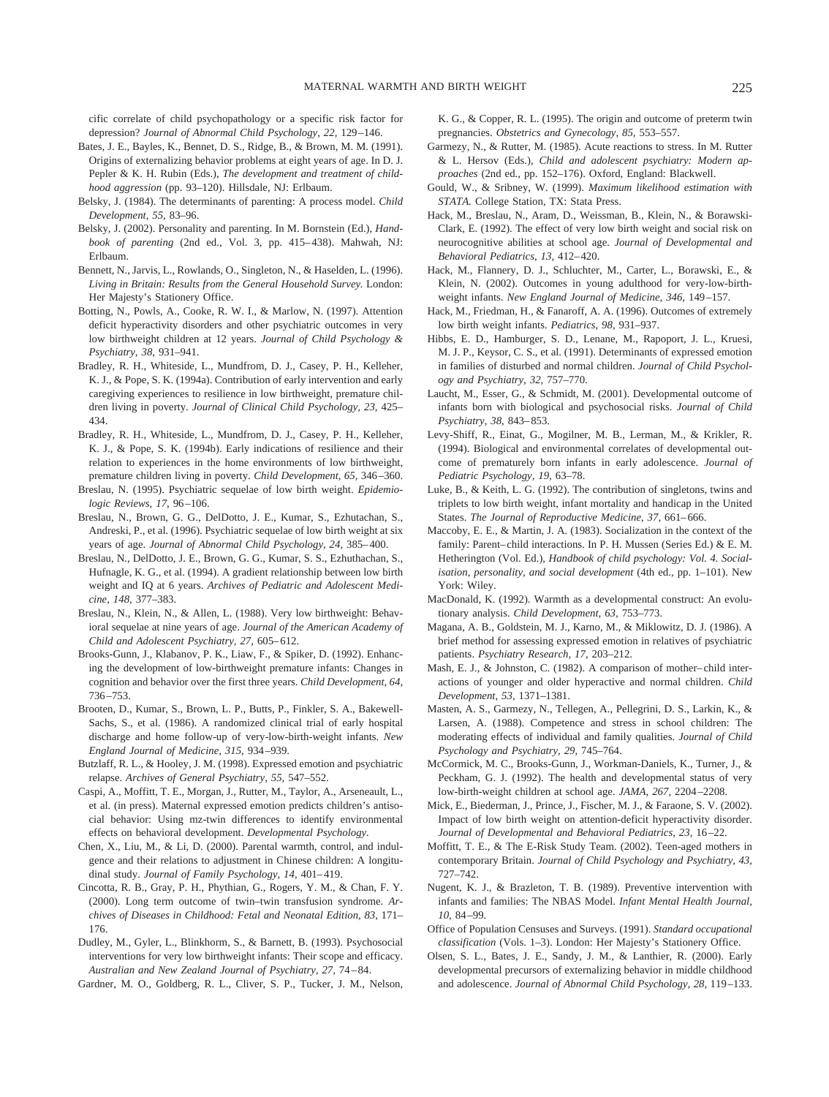cific correlate of child psychopathology or a specific risk factor for depression? *Journal of Abnormal Child Psychology, 22,* 129–146.

- Bates, J. E., Bayles, K., Bennet, D. S., Ridge, B., & Brown, M. M. (1991). Origins of externalizing behavior problems at eight years of age. In D. J. Pepler & K. H. Rubin (Eds.), *The development and treatment of childhood aggression* (pp. 93–120). Hillsdale, NJ: Erlbaum.
- Belsky, J. (1984). The determinants of parenting: A process model. *Child Development, 55,* 83–96.
- Belsky, J. (2002). Personality and parenting. In M. Bornstein (Ed.), *Handbook of parenting* (2nd ed., Vol. 3, pp. 415–438). Mahwah, NJ: Erlbaum.
- Bennett, N., Jarvis, L., Rowlands, O., Singleton, N., & Haselden, L. (1996). *Living in Britain: Results from the General Household Survey.* London: Her Majesty's Stationery Office.
- Botting, N., Powls, A., Cooke, R. W. I., & Marlow, N. (1997). Attention deficit hyperactivity disorders and other psychiatric outcomes in very low birthweight children at 12 years. *Journal of Child Psychology & Psychiatry, 38,* 931–941.
- Bradley, R. H., Whiteside, L., Mundfrom, D. J., Casey, P. H., Kelleher, K. J., & Pope, S. K. (1994a). Contribution of early intervention and early caregiving experiences to resilience in low birthweight, premature children living in poverty. *Journal of Clinical Child Psychology, 23,* 425– 434.
- Bradley, R. H., Whiteside, L., Mundfrom, D. J., Casey, P. H., Kelleher, K. J., & Pope, S. K. (1994b). Early indications of resilience and their relation to experiences in the home environments of low birthweight, premature children living in poverty. *Child Development, 65,* 346–360.
- Breslau, N. (1995). Psychiatric sequelae of low birth weight. *Epidemiologic Reviews, 17,* 96–106.
- Breslau, N., Brown, G. G., DelDotto, J. E., Kumar, S., Ezhutachan, S., Andreski, P., et al. (1996). Psychiatric sequelae of low birth weight at six years of age. *Journal of Abnormal Child Psychology, 24,* 385–400.
- Breslau, N., DelDotto, J. E., Brown, G. G., Kumar, S. S., Ezhuthachan, S., Hufnagle, K. G., et al. (1994). A gradient relationship between low birth weight and IQ at 6 years. *Archives of Pediatric and Adolescent Medicine, 148,* 377–383.
- Breslau, N., Klein, N., & Allen, L. (1988). Very low birthweight: Behavioral sequelae at nine years of age. *Journal of the American Academy of Child and Adolescent Psychiatry, 27,* 605–612.
- Brooks-Gunn, J., Klabanov, P. K., Liaw, F., & Spiker, D. (1992). Enhancing the development of low-birthweight premature infants: Changes in cognition and behavior over the first three years. *Child Development, 64,* 736–753.
- Brooten, D., Kumar, S., Brown, L. P., Butts, P., Finkler, S. A., Bakewell-Sachs, S., et al. (1986). A randomized clinical trial of early hospital discharge and home follow-up of very-low-birth-weight infants. *New England Journal of Medicine, 315,* 934–939.
- Butzlaff, R. L., & Hooley, J. M. (1998). Expressed emotion and psychiatric relapse. *Archives of General Psychiatry, 55,* 547–552.
- Caspi, A., Moffitt, T. E., Morgan, J., Rutter, M., Taylor, A., Arseneault, L., et al. (in press). Maternal expressed emotion predicts children's antisocial behavior: Using mz-twin differences to identify environmental effects on behavioral development. *Developmental Psychology.*
- Chen, X., Liu, M., & Li, D. (2000). Parental warmth, control, and indulgence and their relations to adjustment in Chinese children: A longitudinal study. *Journal of Family Psychology, 14,* 401–419.
- Cincotta, R. B., Gray, P. H., Phythian, G., Rogers, Y. M., & Chan, F. Y. (2000). Long term outcome of twin–twin transfusion syndrome. *Archives of Diseases in Childhood: Fetal and Neonatal Edition, 83,* 171– 176.
- Dudley, M., Gyler, L., Blinkhorm, S., & Barnett, B. (1993). Psychosocial interventions for very low birthweight infants: Their scope and efficacy. *Australian and New Zealand Journal of Psychiatry, 27,* 74–84.

Gardner, M. O., Goldberg, R. L., Cliver, S. P., Tucker, J. M., Nelson,

K. G., & Copper, R. L. (1995). The origin and outcome of preterm twin pregnancies. *Obstetrics and Gynecology, 85,* 553–557.

- Garmezy, N., & Rutter, M. (1985). Acute reactions to stress. In M. Rutter & L. Hersov (Eds.), *Child and adolescent psychiatry: Modern approaches* (2nd ed., pp. 152–176). Oxford, England: Blackwell.
- Gould, W., & Sribney, W. (1999). *Maximum likelihood estimation with STATA.* College Station, TX: Stata Press.
- Hack, M., Breslau, N., Aram, D., Weissman, B., Klein, N., & Borawski-Clark, E. (1992). The effect of very low birth weight and social risk on neurocognitive abilities at school age. *Journal of Developmental and Behavioral Pediatrics, 13,* 412–420.
- Hack, M., Flannery, D. J., Schluchter, M., Carter, L., Borawski, E., & Klein, N. (2002). Outcomes in young adulthood for very-low-birthweight infants. *New England Journal of Medicine, 346,* 149–157.
- Hack, M., Friedman, H., & Fanaroff, A. A. (1996). Outcomes of extremely low birth weight infants. *Pediatrics, 98,* 931–937.
- Hibbs, E. D., Hamburger, S. D., Lenane, M., Rapoport, J. L., Kruesi, M. J. P., Keysor, C. S., et al. (1991). Determinants of expressed emotion in families of disturbed and normal children. *Journal of Child Psychology and Psychiatry, 32,* 757–770.
- Laucht, M., Esser, G., & Schmidt, M. (2001). Developmental outcome of infants born with biological and psychosocial risks. *Journal of Child Psychiatry, 38,* 843–853.
- Levy-Shiff, R., Einat, G., Mogilner, M. B., Lerman, M., & Krikler, R. (1994). Biological and environmental correlates of developmental outcome of prematurely born infants in early adolescence. *Journal of Pediatric Psychology, 19,* 63–78.
- Luke, B., & Keith, L. G. (1992). The contribution of singletons, twins and triplets to low birth weight, infant mortality and handicap in the United States. *The Journal of Reproductive Medicine, 37,* 661–666.
- Maccoby, E. E., & Martin, J. A. (1983). Socialization in the context of the family: Parent–child interactions. In P. H. Mussen (Series Ed.) & E. M. Hetherington (Vol. Ed.), *Handbook of child psychology: Vol. 4. Socialisation, personality, and social development* (4th ed., pp. 1–101). New York: Wiley.
- MacDonald, K. (1992). Warmth as a developmental construct: An evolutionary analysis. *Child Development, 63,* 753–773.
- Magana, A. B., Goldstein, M. J., Karno, M., & Miklowitz, D. J. (1986). A brief method for assessing expressed emotion in relatives of psychiatric patients. *Psychiatry Research, 17,* 203–212.
- Mash, E. J., & Johnston, C. (1982). A comparison of mother–child interactions of younger and older hyperactive and normal children. *Child Development, 53,* 1371–1381.
- Masten, A. S., Garmezy, N., Tellegen, A., Pellegrini, D. S., Larkin, K., & Larsen, A. (1988). Competence and stress in school children: The moderating effects of individual and family qualities. *Journal of Child Psychology and Psychiatry, 29,* 745–764.
- McCormick, M. C., Brooks-Gunn, J., Workman-Daniels, K., Turner, J., & Peckham, G. J. (1992). The health and developmental status of very low-birth-weight children at school age. *JAMA, 267,* 2204–2208.
- Mick, E., Biederman, J., Prince, J., Fischer, M. J., & Faraone, S. V. (2002). Impact of low birth weight on attention-deficit hyperactivity disorder. *Journal of Developmental and Behavioral Pediatrics, 23,* 16–22.
- Moffitt, T. E., & The E-Risk Study Team. (2002). Teen-aged mothers in contemporary Britain. *Journal of Child Psychology and Psychiatry, 43,* 727–742.
- Nugent, K. J., & Brazleton, T. B. (1989). Preventive intervention with infants and families: The NBAS Model. *Infant Mental Health Journal, 10,* 84–99.
- Office of Population Censuses and Surveys. (1991). *Standard occupational classification* (Vols. 1–3). London: Her Majesty's Stationery Office.
- Olsen, S. L., Bates, J. E., Sandy, J. M., & Lanthier, R. (2000). Early developmental precursors of externalizing behavior in middle childhood and adolescence. *Journal of Abnormal Child Psychology, 28,* 119–133.